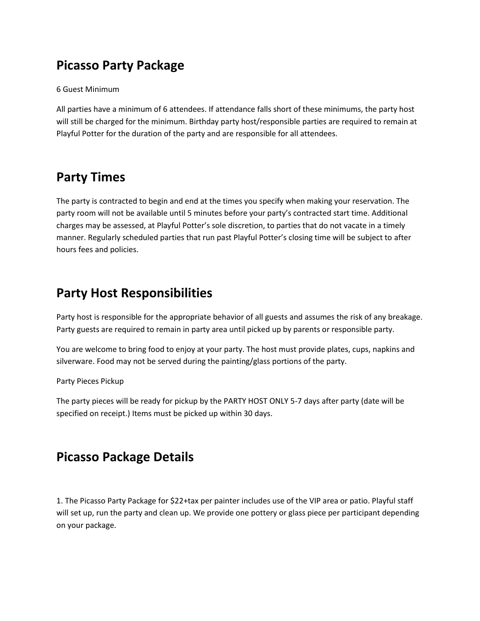# **Picasso Party Package**

6 Guest Minimum

All parties have a minimum of 6 attendees. If attendance falls short of these minimums, the party host will still be charged for the minimum. Birthday party host/responsible parties are required to remain at Playful Potter for the duration of the party and are responsible for all attendees.

## **Party Times**

The party is contracted to begin and end at the times you specify when making your reservation. The party room will not be available until 5 minutes before your party's contracted start time. Additional charges may be assessed, at Playful Potter's sole discretion, to parties that do not vacate in a timely manner. Regularly scheduled parties that run past Playful Potter's closing time will be subject to after hours fees and policies.

## **Party Host Responsibilities**

Party host is responsible for the appropriate behavior of all guests and assumes the risk of any breakage. Party guests are required to remain in party area until picked up by parents or responsible party.

You are welcome to bring food to enjoy at your party. The host must provide plates, cups, napkins and silverware. Food may not be served during the painting/glass portions of the party.

Party Pieces Pickup

The party pieces will be ready for pickup by the PARTY HOST ONLY 5-7 days after party (date will be specified on receipt.) Items must be picked up within 30 days.

# **Picasso Package Details**

1. The Picasso Party Package for \$22+tax per painter includes use of the VIP area or patio. Playful staff will set up, run the party and clean up. We provide one pottery or glass piece per participant depending on your package.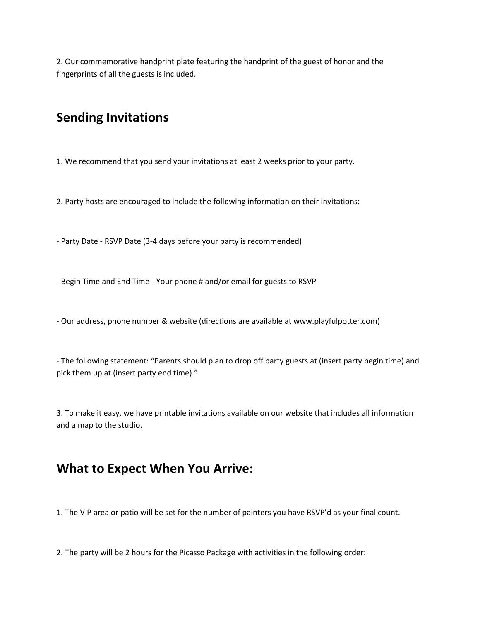2. Our commemorative handprint plate featuring the handprint of the guest of honor and the fingerprints of all the guests is included.

## **Sending Invitations**

1. We recommend that you send your invitations at least 2 weeks prior to your party.

2. Party hosts are encouraged to include the following information on their invitations:

‐ Party Date - RSVP Date (3-4 days before your party is recommended)

‐ Begin Time and End Time - Your phone # and/or email for guests to RSVP

‐ Our address, phone number & website (directions are available at www.playfulpotter.com)

‐ The following statement: "Parents should plan to drop off party guests at (insert party begin time) and pick them up at (insert party end time)."

3. To make it easy, we have printable invitations available on our website that includes all information and a map to the studio.

### **What to Expect When You Arrive:**

1. The VIP area or patio will be set for the number of painters you have RSVP'd as your final count.

2. The party will be 2 hours for the Picasso Package with activities in the following order: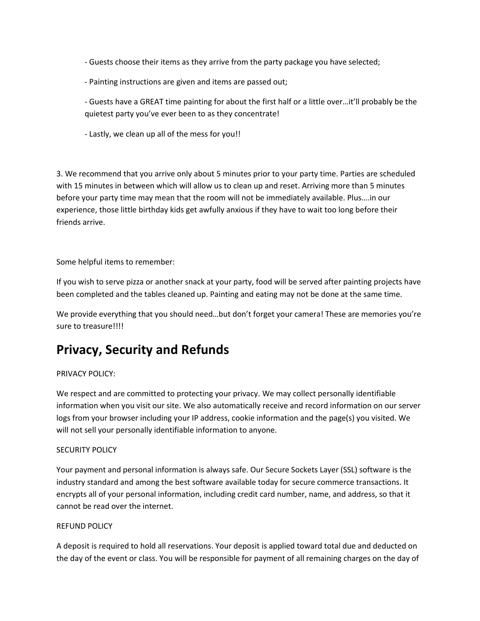‐ Guests choose their items as they arrive from the party package you have selected;

- ‐ Painting instructions are given and items are passed out;
- ‐ Guests have a GREAT time painting for about the first half or a little over…it'll probably be the quietest party you've ever been to as they concentrate!
- ‐ Lastly, we clean up all of the mess for you!!

3. We recommend that you arrive only about 5 minutes prior to your party time. Parties are scheduled with 15 minutes in between which will allow us to clean up and reset. Arriving more than 5 minutes before your party time may mean that the room will not be immediately available. Plus….in our experience, those little birthday kids get awfully anxious if they have to wait too long before their friends arrive.

Some helpful items to remember:

If you wish to serve pizza or another snack at your party, food will be served after painting projects have been completed and the tables cleaned up. Painting and eating may not be done at the same time.

We provide everything that you should need...but don't forget your camera! These are memories you're sure to treasure!!!!

## **Privacy, Security and Refunds**

### PRIVACY POLICY:

We respect and are committed to protecting your privacy. We may collect personally identifiable information when you visit our site. We also automatically receive and record information on our server logs from your browser including your IP address, cookie information and the page(s) you visited. We will not sell your personally identifiable information to anyone.

### SECURITY POLICY

Your payment and personal information is always safe. Our Secure Sockets Layer (SSL) software is the industry standard and among the best software available today for secure commerce transactions. It encrypts all of your personal information, including credit card number, name, and address, so that it cannot be read over the internet.

#### REFUND POLICY

A deposit is required to hold all reservations. Your deposit is applied toward total due and deducted on the day of the event or class. You will be responsible for payment of all remaining charges on the day of